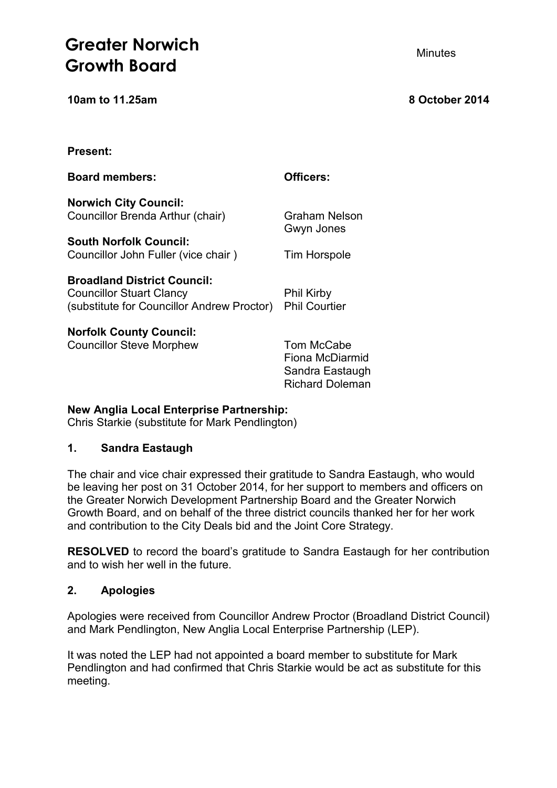# **Greater Norwich** *Minutes* Minutes **Growth Board**

**10am to 11.25am 8 October 2014**

| <b>Present:</b>                                                                                                     |                                                                            |
|---------------------------------------------------------------------------------------------------------------------|----------------------------------------------------------------------------|
| <b>Board members:</b>                                                                                               | Officers:                                                                  |
| <b>Norwich City Council:</b><br>Councillor Brenda Arthur (chair)                                                    | Graham Nelson<br>Gwyn Jones                                                |
| <b>South Norfolk Council:</b><br>Councillor John Fuller (vice chair)                                                | <b>Tim Horspole</b>                                                        |
| <b>Broadland District Council:</b><br><b>Councillor Stuart Clancy</b><br>(substitute for Councillor Andrew Proctor) | <b>Phil Kirby</b><br><b>Phil Courtier</b>                                  |
| <b>Norfolk County Council:</b><br><b>Councillor Steve Morphew</b>                                                   | Tom McCabe<br>Fiona McDiarmid<br>Sandra Eastaugh<br><b>Richard Doleman</b> |

#### **New Anglia Local Enterprise Partnership:**

Chris Starkie (substitute for Mark Pendlington)

# **1. Sandra Eastaugh**

The chair and vice chair expressed their gratitude to Sandra Eastaugh, who would be leaving her post on 31 October 2014, for her support to members and officers on the Greater Norwich Development Partnership Board and the Greater Norwich Growth Board, and on behalf of the three district councils thanked her for her work and contribution to the City Deals bid and the Joint Core Strategy.

**RESOLVED** to record the board's gratitude to Sandra Eastaugh for her contribution and to wish her well in the future.

### **2. Apologies**

Apologies were received from Councillor Andrew Proctor (Broadland District Council) and Mark Pendlington, New Anglia Local Enterprise Partnership (LEP).

It was noted the LEP had not appointed a board member to substitute for Mark Pendlington and had confirmed that Chris Starkie would be act as substitute for this meeting.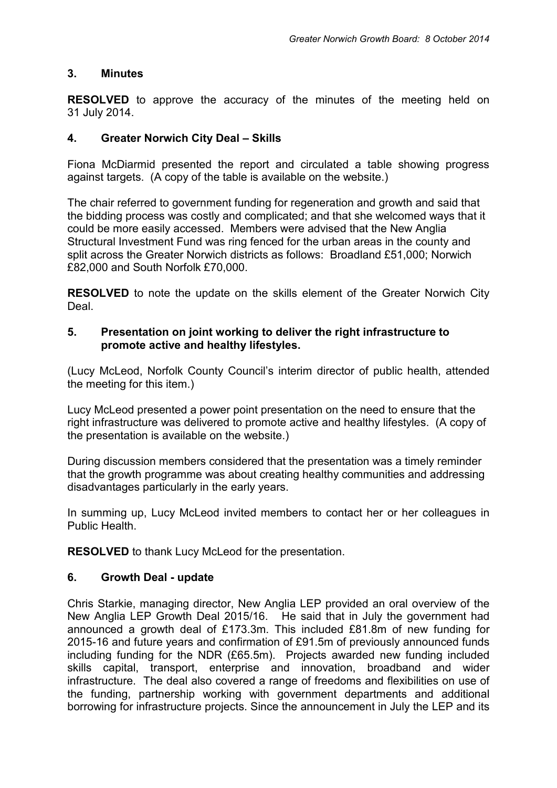#### **3. Minutes**

**RESOLVED** to approve the accuracy of the minutes of the meeting held on 31 July 2014.

### **4. Greater Norwich City Deal – Skills**

Fiona McDiarmid presented the report and circulated a table showing progress against targets. (A copy of the table is available on the website.)

The chair referred to government funding for regeneration and growth and said that the bidding process was costly and complicated; and that she welcomed ways that it could be more easily accessed. Members were advised that the New Anglia Structural Investment Fund was ring fenced for the urban areas in the county and split across the Greater Norwich districts as follows: Broadland £51,000; Norwich £82,000 and South Norfolk £70,000.

**RESOLVED** to note the update on the skills element of the Greater Norwich City Deal.

#### **5. Presentation on joint working to deliver the right infrastructure to promote active and healthy lifestyles.**

(Lucy McLeod, Norfolk County Council's interim director of public health, attended the meeting for this item.)

Lucy McLeod presented a power point presentation on the need to ensure that the right infrastructure was delivered to promote active and healthy lifestyles. (A copy of the presentation is available on the website.)

During discussion members considered that the presentation was a timely reminder that the growth programme was about creating healthy communities and addressing disadvantages particularly in the early years.

In summing up, Lucy McLeod invited members to contact her or her colleagues in Public Health.

**RESOLVED** to thank Lucy McLeod for the presentation.

#### **6. Growth Deal - update**

Chris Starkie, managing director, New Anglia LEP provided an oral overview of the New Anglia LEP Growth Deal 2015/16. He said that in July the government had announced a growth deal of £173.3m. This included £81.8m of new funding for 2015-16 and future years and confirmation of £91.5m of previously announced funds including funding for the NDR (£65.5m). Projects awarded new funding included skills capital, transport, enterprise and innovation, broadband and wider infrastructure. The deal also covered a range of freedoms and flexibilities on use of the funding, partnership working with government departments and additional borrowing for infrastructure projects. Since the announcement in July the LEP and its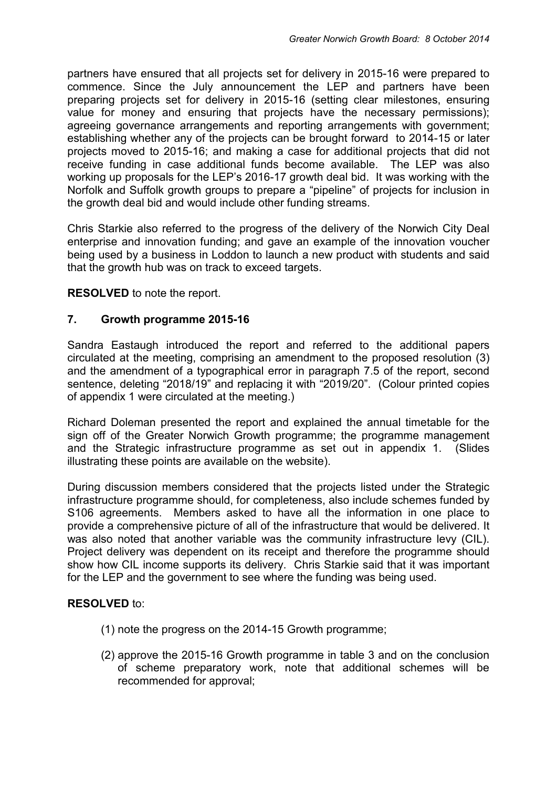partners have ensured that all projects set for delivery in 2015-16 were prepared to commence. Since the July announcement the LEP and partners have been preparing projects set for delivery in 2015-16 (setting clear milestones, ensuring value for money and ensuring that projects have the necessary permissions); agreeing governance arrangements and reporting arrangements with government; establishing whether any of the projects can be brought forward to 2014-15 or later projects moved to 2015-16; and making a case for additional projects that did not receive funding in case additional funds become available. The LEP was also working up proposals for the LEP's 2016-17 growth deal bid. It was working with the Norfolk and Suffolk growth groups to prepare a "pipeline" of projects for inclusion in the growth deal bid and would include other funding streams.

Chris Starkie also referred to the progress of the delivery of the Norwich City Deal enterprise and innovation funding; and gave an example of the innovation voucher being used by a business in Loddon to launch a new product with students and said that the growth hub was on track to exceed targets.

#### **RESOLVED** to note the report.

#### **7. Growth programme 2015-16**

Sandra Eastaugh introduced the report and referred to the additional papers circulated at the meeting, comprising an amendment to the proposed resolution (3) and the amendment of a typographical error in paragraph 7.5 of the report, second sentence, deleting "2018/19" and replacing it with "2019/20". (Colour printed copies of appendix 1 were circulated at the meeting.)

Richard Doleman presented the report and explained the annual timetable for the sign off of the Greater Norwich Growth programme; the programme management and the Strategic infrastructure programme as set out in appendix 1. (Slides illustrating these points are available on the website).

During discussion members considered that the projects listed under the Strategic infrastructure programme should, for completeness, also include schemes funded by S106 agreements. Members asked to have all the information in one place to provide a comprehensive picture of all of the infrastructure that would be delivered. It was also noted that another variable was the community infrastructure levy (CIL). Project delivery was dependent on its receipt and therefore the programme should show how CIL income supports its delivery. Chris Starkie said that it was important for the LEP and the government to see where the funding was being used.

#### **RESOLVED** to:

- (1) note the progress on the 2014-15 Growth programme;
- (2) approve the 2015-16 Growth programme in table 3 and on the conclusion of scheme preparatory work, note that additional schemes will be recommended for approval;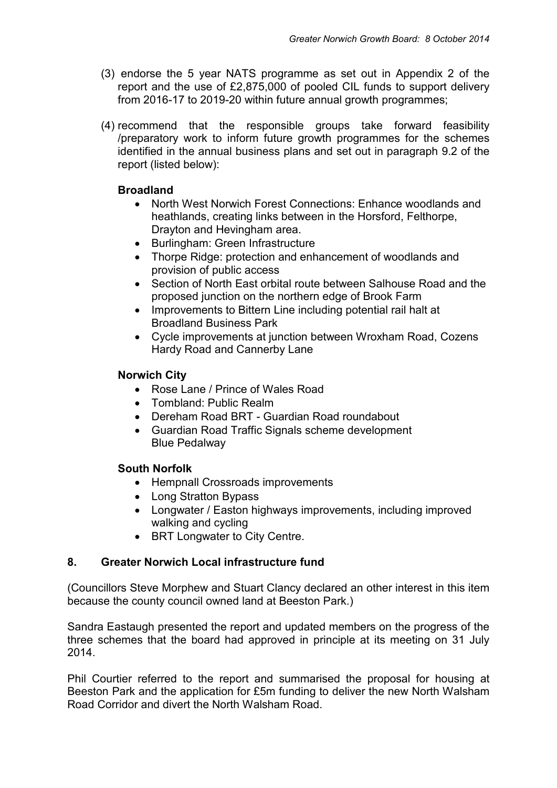- (3) endorse the 5 year NATS programme as set out in Appendix 2 of the report and the use of £2,875,000 of pooled CIL funds to support delivery from 2016-17 to 2019-20 within future annual growth programmes;
- (4) recommend that the responsible groups take forward feasibility /preparatory work to inform future growth programmes for the schemes identified in the annual business plans and set out in paragraph 9.2 of the report (listed below):

# **Broadland**

- North West Norwich Forest Connections: Enhance woodlands and heathlands, creating links between in the Horsford, Felthorpe, Drayton and Hevingham area.
- Burlingham: Green Infrastructure
- Thorpe Ridge: protection and enhancement of woodlands and provision of public access
- Section of North East orbital route between Salhouse Road and the proposed junction on the northern edge of Brook Farm
- Improvements to Bittern Line including potential rail halt at Broadland Business Park
- Cycle improvements at junction between Wroxham Road, Cozens Hardy Road and Cannerby Lane

# **Norwich City**

- Rose Lane / Prince of Wales Road
- Tombland: Public Realm
- Dereham Road BRT Guardian Road roundabout
- Guardian Road Traffic Signals scheme development Blue Pedalway

# **South Norfolk**

- Hempnall Crossroads improvements
- Long Stratton Bypass
- Longwater / Easton highways improvements, including improved walking and cycling
- BRT Longwater to City Centre.

# **8. Greater Norwich Local infrastructure fund**

(Councillors Steve Morphew and Stuart Clancy declared an other interest in this item because the county council owned land at Beeston Park.)

Sandra Eastaugh presented the report and updated members on the progress of the three schemes that the board had approved in principle at its meeting on 31 July 2014.

Phil Courtier referred to the report and summarised the proposal for housing at Beeston Park and the application for £5m funding to deliver the new North Walsham Road Corridor and divert the North Walsham Road.